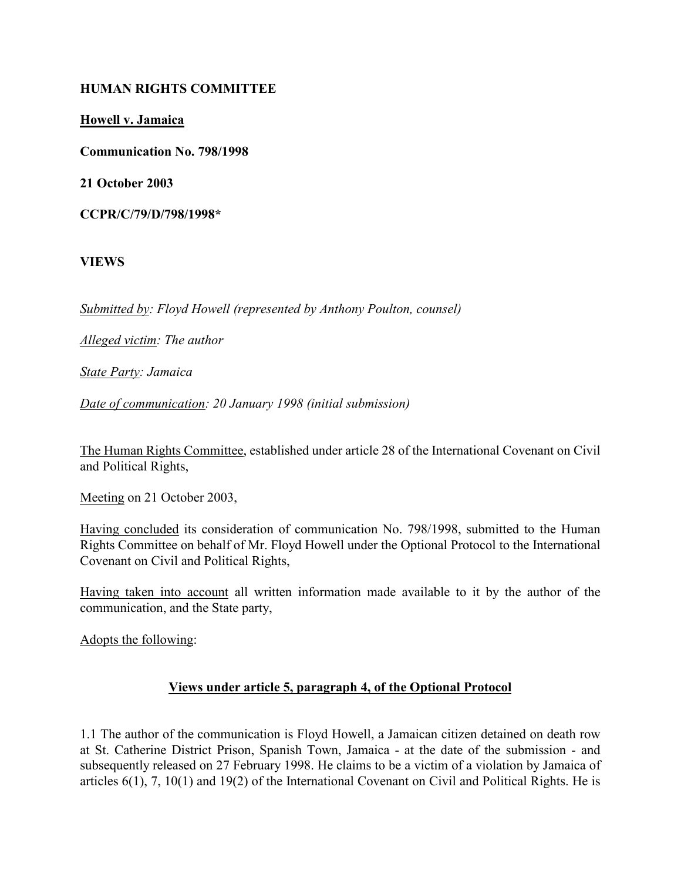### HUMAN RIGHTS COMMITTEE

Howell v. Jamaica

Communication No. 798/1998

21 October 2003

CCPR/C/79/D/798/1998\*

VIEWS

Submitted by: Floyd Howell (represented by Anthony Poulton, counsel)

Alleged victim: The author

State Party: Jamaica

Date of communication: 20 January 1998 (initial submission)

The Human Rights Committee, established under article 28 of the International Covenant on Civil and Political Rights,

Meeting on 21 October 2003,

Having concluded its consideration of communication No. 798/1998, submitted to the Human Rights Committee on behalf of Mr. Floyd Howell under the Optional Protocol to the International Covenant on Civil and Political Rights,

Having taken into account all written information made available to it by the author of the communication, and the State party,

Adopts the following:

### Views under article 5, paragraph 4, of the Optional Protocol

1.1 The author of the communication is Floyd Howell, a Jamaican citizen detained on death row at St. Catherine District Prison, Spanish Town, Jamaica - at the date of the submission - and subsequently released on 27 February 1998. He claims to be a victim of a violation by Jamaica of articles 6(1), 7, 10(1) and 19(2) of the International Covenant on Civil and Political Rights. He is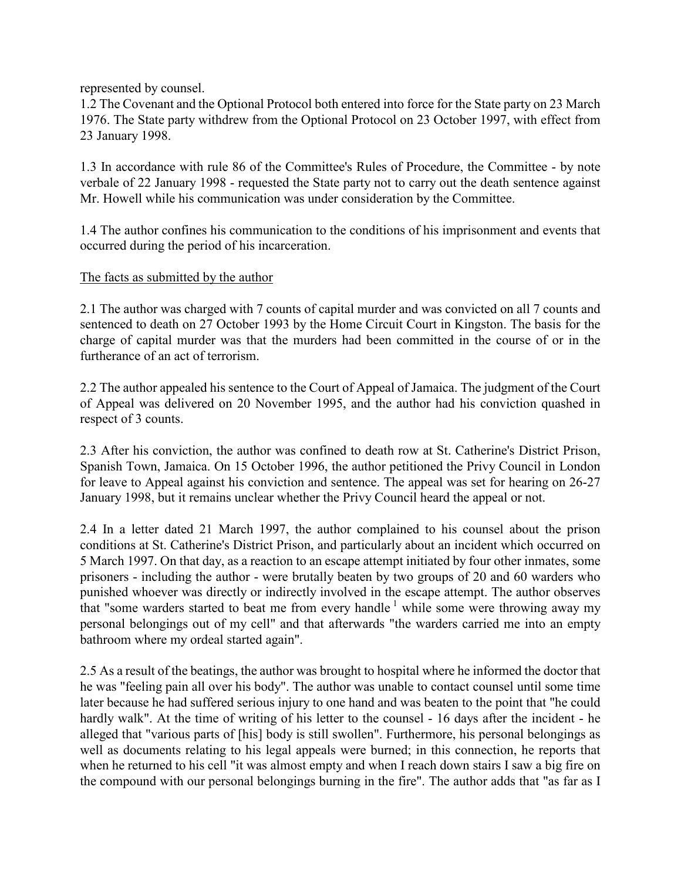represented by counsel.

1.2 The Covenant and the Optional Protocol both entered into force for the State party on 23 March 1976. The State party withdrew from the Optional Protocol on 23 October 1997, with effect from 23 January 1998.

1.3 In accordance with rule 86 of the Committee's Rules of Procedure, the Committee - by note verbale of 22 January 1998 - requested the State party not to carry out the death sentence against Mr. Howell while his communication was under consideration by the Committee.

1.4 The author confines his communication to the conditions of his imprisonment and events that occurred during the period of his incarceration.

The facts as submitted by the author

2.1 The author was charged with 7 counts of capital murder and was convicted on all 7 counts and sentenced to death on 27 October 1993 by the Home Circuit Court in Kingston. The basis for the charge of capital murder was that the murders had been committed in the course of or in the furtherance of an act of terrorism.

2.2 The author appealed his sentence to the Court of Appeal of Jamaica. The judgment of the Court of Appeal was delivered on 20 November 1995, and the author had his conviction quashed in respect of 3 counts.

2.3 After his conviction, the author was confined to death row at St. Catherine's District Prison, Spanish Town, Jamaica. On 15 October 1996, the author petitioned the Privy Council in London for leave to Appeal against his conviction and sentence. The appeal was set for hearing on 26-27 January 1998, but it remains unclear whether the Privy Council heard the appeal or not.

2.4 In a letter dated 21 March 1997, the author complained to his counsel about the prison conditions at St. Catherine's District Prison, and particularly about an incident which occurred on 5 March 1997. On that day, as a reaction to an escape attempt initiated by four other inmates, some prisoners - including the author - were brutally beaten by two groups of 20 and 60 warders who punished whoever was directly or indirectly involved in the escape attempt. The author observes that "some warders started to beat me from every handle<sup>1</sup> while some were throwing away my personal belongings out of my cell" and that afterwards "the warders carried me into an empty bathroom where my ordeal started again".

2.5 As a result of the beatings, the author was brought to hospital where he informed the doctor that he was "feeling pain all over his body". The author was unable to contact counsel until some time later because he had suffered serious injury to one hand and was beaten to the point that "he could hardly walk". At the time of writing of his letter to the counsel - 16 days after the incident - he alleged that "various parts of [his] body is still swollen". Furthermore, his personal belongings as well as documents relating to his legal appeals were burned; in this connection, he reports that when he returned to his cell "it was almost empty and when I reach down stairs I saw a big fire on the compound with our personal belongings burning in the fire". The author adds that "as far as I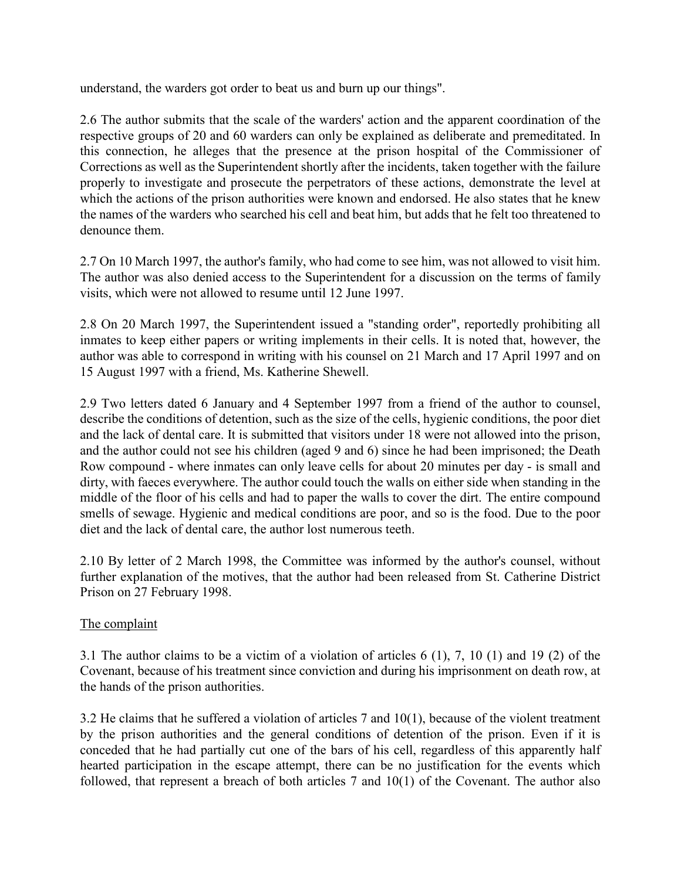understand, the warders got order to beat us and burn up our things".

2.6 The author submits that the scale of the warders' action and the apparent coordination of the respective groups of 20 and 60 warders can only be explained as deliberate and premeditated. In this connection, he alleges that the presence at the prison hospital of the Commissioner of Corrections as well as the Superintendent shortly after the incidents, taken together with the failure properly to investigate and prosecute the perpetrators of these actions, demonstrate the level at which the actions of the prison authorities were known and endorsed. He also states that he knew the names of the warders who searched his cell and beat him, but adds that he felt too threatened to denounce them.

2.7 On 10 March 1997, the author's family, who had come to see him, was not allowed to visit him. The author was also denied access to the Superintendent for a discussion on the terms of family visits, which were not allowed to resume until 12 June 1997.

2.8 On 20 March 1997, the Superintendent issued a "standing order", reportedly prohibiting all inmates to keep either papers or writing implements in their cells. It is noted that, however, the author was able to correspond in writing with his counsel on 21 March and 17 April 1997 and on 15 August 1997 with a friend, Ms. Katherine Shewell.

2.9 Two letters dated 6 January and 4 September 1997 from a friend of the author to counsel, describe the conditions of detention, such as the size of the cells, hygienic conditions, the poor diet and the lack of dental care. It is submitted that visitors under 18 were not allowed into the prison, and the author could not see his children (aged 9 and 6) since he had been imprisoned; the Death Row compound - where inmates can only leave cells for about 20 minutes per day - is small and dirty, with faeces everywhere. The author could touch the walls on either side when standing in the middle of the floor of his cells and had to paper the walls to cover the dirt. The entire compound smells of sewage. Hygienic and medical conditions are poor, and so is the food. Due to the poor diet and the lack of dental care, the author lost numerous teeth.

2.10 By letter of 2 March 1998, the Committee was informed by the author's counsel, without further explanation of the motives, that the author had been released from St. Catherine District Prison on 27 February 1998.

### The complaint

3.1 The author claims to be a victim of a violation of articles 6 (1), 7, 10 (1) and 19 (2) of the Covenant, because of his treatment since conviction and during his imprisonment on death row, at the hands of the prison authorities.

3.2 He claims that he suffered a violation of articles 7 and  $10(1)$ , because of the violent treatment by the prison authorities and the general conditions of detention of the prison. Even if it is conceded that he had partially cut one of the bars of his cell, regardless of this apparently half hearted participation in the escape attempt, there can be no justification for the events which followed, that represent a breach of both articles 7 and 10(1) of the Covenant. The author also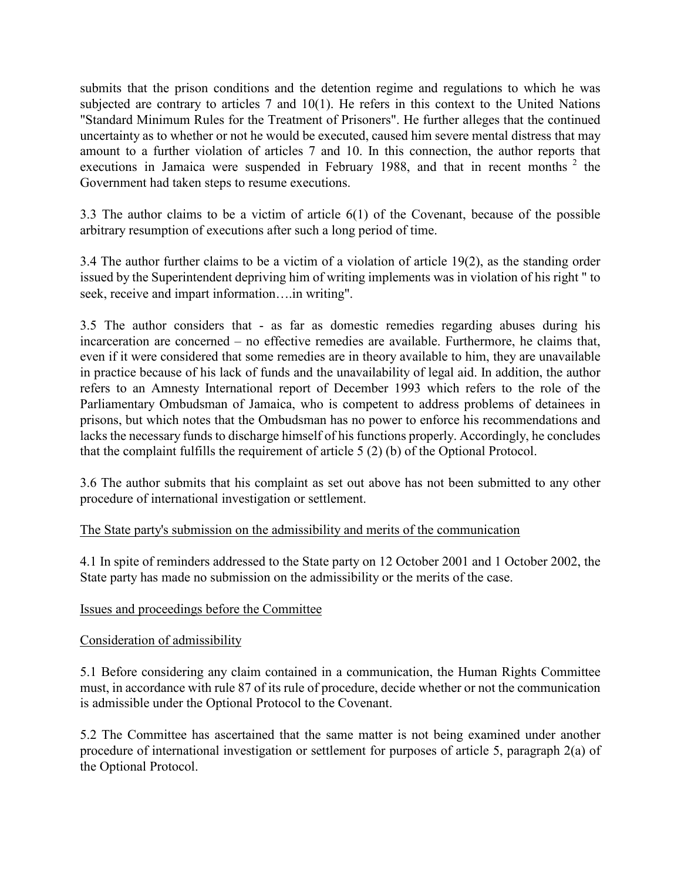submits that the prison conditions and the detention regime and regulations to which he was subjected are contrary to articles 7 and 10(1). He refers in this context to the United Nations "Standard Minimum Rules for the Treatment of Prisoners". He further alleges that the continued uncertainty as to whether or not he would be executed, caused him severe mental distress that may amount to a further violation of articles 7 and 10. In this connection, the author reports that executions in Jamaica were suspended in February 1988, and that in recent months  $2$  the Government had taken steps to resume executions.

3.3 The author claims to be a victim of article 6(1) of the Covenant, because of the possible arbitrary resumption of executions after such a long period of time.

3.4 The author further claims to be a victim of a violation of article 19(2), as the standing order issued by the Superintendent depriving him of writing implements was in violation of his right " to seek, receive and impart information….in writing".

3.5 The author considers that - as far as domestic remedies regarding abuses during his incarceration are concerned – no effective remedies are available. Furthermore, he claims that, even if it were considered that some remedies are in theory available to him, they are unavailable in practice because of his lack of funds and the unavailability of legal aid. In addition, the author refers to an Amnesty International report of December 1993 which refers to the role of the Parliamentary Ombudsman of Jamaica, who is competent to address problems of detainees in prisons, but which notes that the Ombudsman has no power to enforce his recommendations and lacks the necessary funds to discharge himself of his functions properly. Accordingly, he concludes that the complaint fulfills the requirement of article 5 (2) (b) of the Optional Protocol.

3.6 The author submits that his complaint as set out above has not been submitted to any other procedure of international investigation or settlement.

The State party's submission on the admissibility and merits of the communication

4.1 In spite of reminders addressed to the State party on 12 October 2001 and 1 October 2002, the State party has made no submission on the admissibility or the merits of the case.

# Issues and proceedings before the Committee

# Consideration of admissibility

5.1 Before considering any claim contained in a communication, the Human Rights Committee must, in accordance with rule 87 of its rule of procedure, decide whether or not the communication is admissible under the Optional Protocol to the Covenant.

5.2 The Committee has ascertained that the same matter is not being examined under another procedure of international investigation or settlement for purposes of article 5, paragraph 2(a) of the Optional Protocol.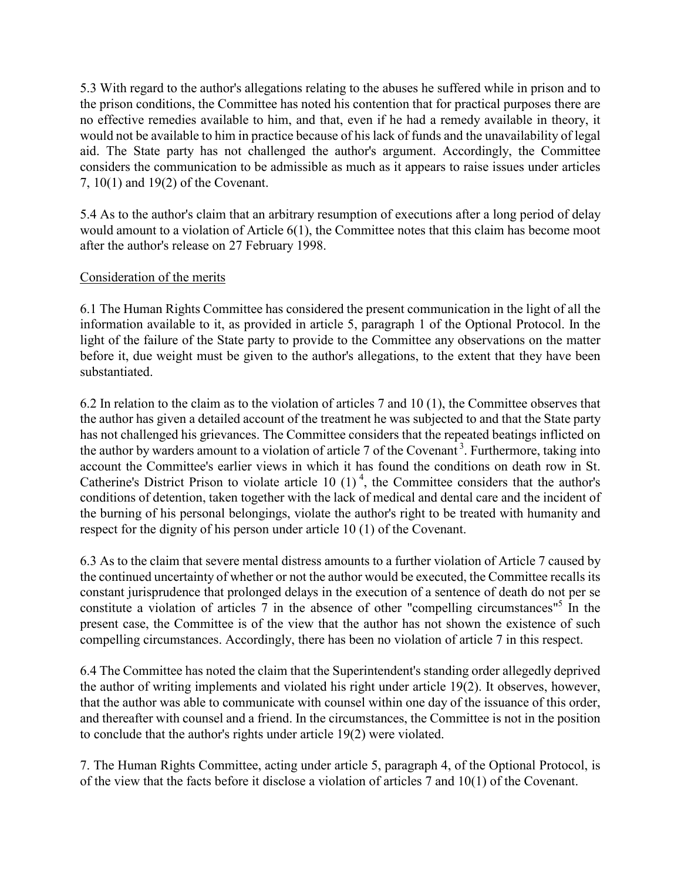5.3 With regard to the author's allegations relating to the abuses he suffered while in prison and to the prison conditions, the Committee has noted his contention that for practical purposes there are no effective remedies available to him, and that, even if he had a remedy available in theory, it would not be available to him in practice because of his lack of funds and the unavailability of legal aid. The State party has not challenged the author's argument. Accordingly, the Committee considers the communication to be admissible as much as it appears to raise issues under articles 7, 10(1) and 19(2) of the Covenant.

5.4 As to the author's claim that an arbitrary resumption of executions after a long period of delay would amount to a violation of Article 6(1), the Committee notes that this claim has become moot after the author's release on 27 February 1998.

### Consideration of the merits

6.1 The Human Rights Committee has considered the present communication in the light of all the information available to it, as provided in article 5, paragraph 1 of the Optional Protocol. In the light of the failure of the State party to provide to the Committee any observations on the matter before it, due weight must be given to the author's allegations, to the extent that they have been substantiated.

6.2 In relation to the claim as to the violation of articles 7 and 10 (1), the Committee observes that the author has given a detailed account of the treatment he was subjected to and that the State party has not challenged his grievances. The Committee considers that the repeated beatings inflicted on the author by warders amount to a violation of article 7 of the Covenant<sup>3</sup>. Furthermore, taking into account the Committee's earlier views in which it has found the conditions on death row in St. Catherine's District Prison to violate article 10  $(1)^4$ , the Committee considers that the author's conditions of detention, taken together with the lack of medical and dental care and the incident of the burning of his personal belongings, violate the author's right to be treated with humanity and respect for the dignity of his person under article 10 (1) of the Covenant.

6.3 As to the claim that severe mental distress amounts to a further violation of Article 7 caused by the continued uncertainty of whether or not the author would be executed, the Committee recalls its constant jurisprudence that prolonged delays in the execution of a sentence of death do not per se constitute a violation of articles  $7$  in the absence of other "compelling circumstances" $5$  In the present case, the Committee is of the view that the author has not shown the existence of such compelling circumstances. Accordingly, there has been no violation of article 7 in this respect.

6.4 The Committee has noted the claim that the Superintendent's standing order allegedly deprived the author of writing implements and violated his right under article 19(2). It observes, however, that the author was able to communicate with counsel within one day of the issuance of this order, and thereafter with counsel and a friend. In the circumstances, the Committee is not in the position to conclude that the author's rights under article 19(2) were violated.

7. The Human Rights Committee, acting under article 5, paragraph 4, of the Optional Protocol, is of the view that the facts before it disclose a violation of articles 7 and 10(1) of the Covenant.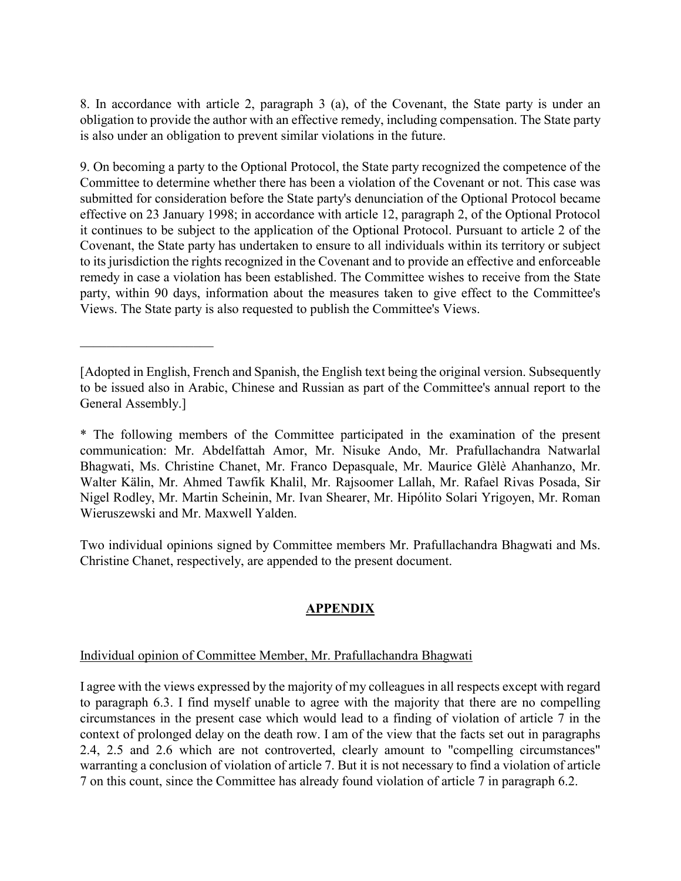8. In accordance with article 2, paragraph 3 (a), of the Covenant, the State party is under an obligation to provide the author with an effective remedy, including compensation. The State party is also under an obligation to prevent similar violations in the future.

9. On becoming a party to the Optional Protocol, the State party recognized the competence of the Committee to determine whether there has been a violation of the Covenant or not. This case was submitted for consideration before the State party's denunciation of the Optional Protocol became effective on 23 January 1998; in accordance with article 12, paragraph 2, of the Optional Protocol it continues to be subject to the application of the Optional Protocol. Pursuant to article 2 of the Covenant, the State party has undertaken to ensure to all individuals within its territory or subject to its jurisdiction the rights recognized in the Covenant and to provide an effective and enforceable remedy in case a violation has been established. The Committee wishes to receive from the State party, within 90 days, information about the measures taken to give effect to the Committee's Views. The State party is also requested to publish the Committee's Views.

\* The following members of the Committee participated in the examination of the present communication: Mr. Abdelfattah Amor, Mr. Nisuke Ando, Mr. Prafullachandra Natwarlal Bhagwati, Ms. Christine Chanet, Mr. Franco Depasquale, Mr. Maurice Glèlè Ahanhanzo, Mr. Walter Kälin, Mr. Ahmed Tawfik Khalil, Mr. Rajsoomer Lallah, Mr. Rafael Rivas Posada, Sir Nigel Rodley, Mr. Martin Scheinin, Mr. Ivan Shearer, Mr. Hipólito Solari Yrigoyen, Mr. Roman Wieruszewski and Mr. Maxwell Yalden.

Two individual opinions signed by Committee members Mr. Prafullachandra Bhagwati and Ms. Christine Chanet, respectively, are appended to the present document.

# APPENDIX

### Individual opinion of Committee Member, Mr. Prafullachandra Bhagwati

 $\overline{\phantom{a}}$  , where  $\overline{\phantom{a}}$  , where  $\overline{\phantom{a}}$  , where  $\overline{\phantom{a}}$ 

I agree with the views expressed by the majority of my colleagues in all respects except with regard to paragraph 6.3. I find myself unable to agree with the majority that there are no compelling circumstances in the present case which would lead to a finding of violation of article 7 in the context of prolonged delay on the death row. I am of the view that the facts set out in paragraphs 2.4, 2.5 and 2.6 which are not controverted, clearly amount to "compelling circumstances" warranting a conclusion of violation of article 7. But it is not necessary to find a violation of article 7 on this count, since the Committee has already found violation of article 7 in paragraph 6.2.

<sup>[</sup>Adopted in English, French and Spanish, the English text being the original version. Subsequently to be issued also in Arabic, Chinese and Russian as part of the Committee's annual report to the General Assembly.]